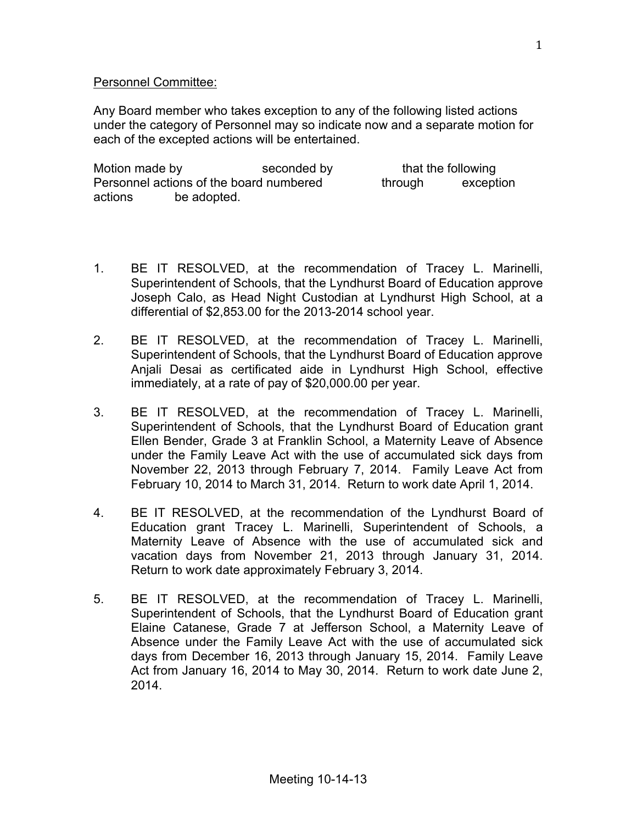## Personnel Committee:

Any Board member who takes exception to any of the following listed actions under the category of Personnel may so indicate now and a separate motion for each of the excepted actions will be entertained.

| Motion made by                          |             | seconded by |         | that the following |
|-----------------------------------------|-------------|-------------|---------|--------------------|
| Personnel actions of the board numbered |             |             | through | exception          |
| actions                                 | be adopted. |             |         |                    |

- 1. BE IT RESOLVED, at the recommendation of Tracey L. Marinelli, Superintendent of Schools, that the Lyndhurst Board of Education approve Joseph Calo, as Head Night Custodian at Lyndhurst High School, at a differential of \$2,853.00 for the 2013-2014 school year.
- 2. BE IT RESOLVED, at the recommendation of Tracey L. Marinelli, Superintendent of Schools, that the Lyndhurst Board of Education approve Anjali Desai as certificated aide in Lyndhurst High School, effective immediately, at a rate of pay of \$20,000.00 per year.
- 3. BE IT RESOLVED, at the recommendation of Tracey L. Marinelli, Superintendent of Schools, that the Lyndhurst Board of Education grant Ellen Bender, Grade 3 at Franklin School, a Maternity Leave of Absence under the Family Leave Act with the use of accumulated sick days from November 22, 2013 through February 7, 2014. Family Leave Act from February 10, 2014 to March 31, 2014. Return to work date April 1, 2014.
- 4. BE IT RESOLVED, at the recommendation of the Lyndhurst Board of Education grant Tracey L. Marinelli, Superintendent of Schools, a Maternity Leave of Absence with the use of accumulated sick and vacation days from November 21, 2013 through January 31, 2014. Return to work date approximately February 3, 2014.
- 5. BE IT RESOLVED, at the recommendation of Tracey L. Marinelli, Superintendent of Schools, that the Lyndhurst Board of Education grant Elaine Catanese, Grade 7 at Jefferson School, a Maternity Leave of Absence under the Family Leave Act with the use of accumulated sick days from December 16, 2013 through January 15, 2014. Family Leave Act from January 16, 2014 to May 30, 2014. Return to work date June 2, 2014.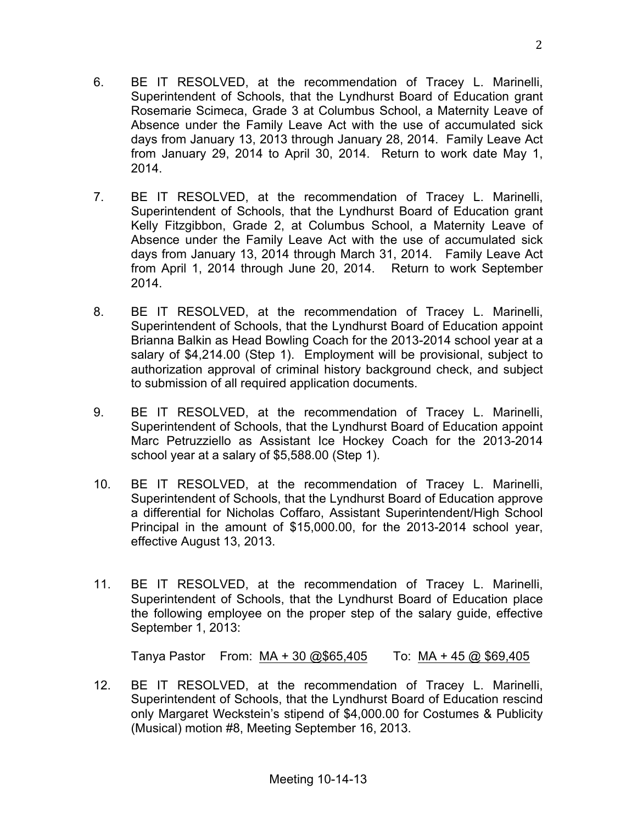2

- 6. BE IT RESOLVED, at the recommendation of Tracey L. Marinelli, Superintendent of Schools, that the Lyndhurst Board of Education grant Rosemarie Scimeca, Grade 3 at Columbus School, a Maternity Leave of Absence under the Family Leave Act with the use of accumulated sick days from January 13, 2013 through January 28, 2014. Family Leave Act from January 29, 2014 to April 30, 2014. Return to work date May 1, 2014.
- 7. BE IT RESOLVED, at the recommendation of Tracey L. Marinelli, Superintendent of Schools, that the Lyndhurst Board of Education grant Kelly Fitzgibbon, Grade 2, at Columbus School, a Maternity Leave of Absence under the Family Leave Act with the use of accumulated sick days from January 13, 2014 through March 31, 2014. Family Leave Act from April 1, 2014 through June 20, 2014. Return to work September 2014.
- 8. BE IT RESOLVED, at the recommendation of Tracey L. Marinelli, Superintendent of Schools, that the Lyndhurst Board of Education appoint Brianna Balkin as Head Bowling Coach for the 2013-2014 school year at a salary of \$4,214.00 (Step 1). Employment will be provisional, subject to authorization approval of criminal history background check, and subject to submission of all required application documents.
- 9. BE IT RESOLVED, at the recommendation of Tracey L. Marinelli, Superintendent of Schools, that the Lyndhurst Board of Education appoint Marc Petruzziello as Assistant Ice Hockey Coach for the 2013-2014 school year at a salary of \$5,588.00 (Step 1).
- 10. BE IT RESOLVED, at the recommendation of Tracey L. Marinelli, Superintendent of Schools, that the Lyndhurst Board of Education approve a differential for Nicholas Coffaro, Assistant Superintendent/High School Principal in the amount of \$15,000.00, for the 2013-2014 school year, effective August 13, 2013.
- 11. BE IT RESOLVED, at the recommendation of Tracey L. Marinelli, Superintendent of Schools, that the Lyndhurst Board of Education place the following employee on the proper step of the salary guide, effective September 1, 2013:

Tanya Pastor From: MA + 30 @\$65,405 To: MA + 45 @ \$69,405

12. BE IT RESOLVED, at the recommendation of Tracey L. Marinelli, Superintendent of Schools, that the Lyndhurst Board of Education rescind only Margaret Weckstein's stipend of \$4,000.00 for Costumes & Publicity (Musical) motion #8, Meeting September 16, 2013.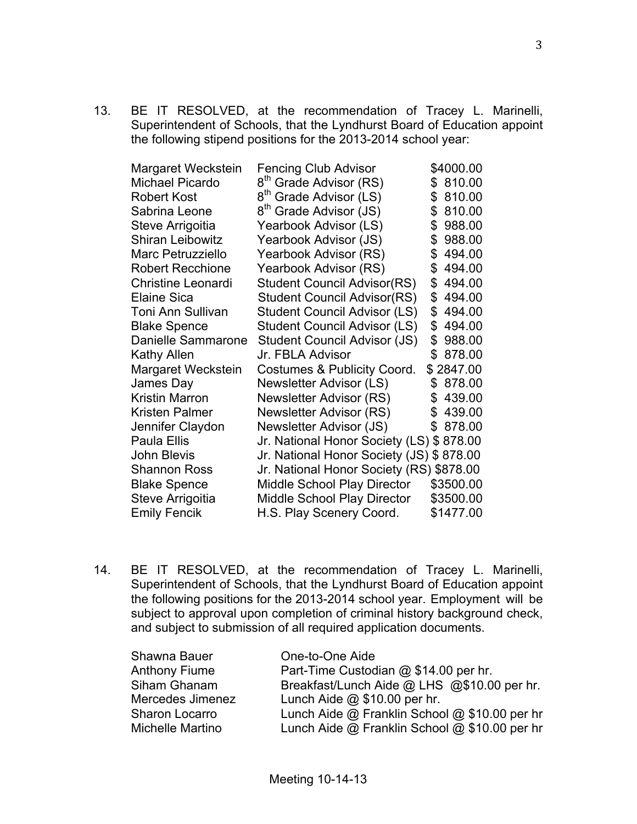13. BE IT RESOLVED, at the recommendation of Tracey L. Marinelli, Superintendent of Schools, that the Lyndhurst Board of Education appoint the following stipend positions for the 2013-2014 school year:

| <b>Fencing Club Advisor</b>              | \$4000.00    |
|------------------------------------------|--------------|
| 8 <sup>th</sup> Grade Advisor (RS)       | 810.00<br>S  |
| 8 <sup>th</sup> Grade Advisor (LS)       | 810.00<br>\$ |
| 8 <sup>th</sup> Grade Advisor (JS)       | \$<br>810.00 |
| Yearbook Advisor (LS)                    | \$<br>988.00 |
| Yearbook Advisor (JS)                    | \$<br>988.00 |
| Yearbook Advisor (RS)                    | 494.00<br>\$ |
| Yearbook Advisor (RS)                    | \$<br>494.00 |
| <b>Student Council Advisor(RS)</b>       | \$<br>494.00 |
| <b>Student Council Advisor(RS)</b>       | \$<br>494.00 |
| <b>Student Council Advisor (LS)</b>      | \$<br>494.00 |
| Student Council Advisor (LS)             | \$<br>494.00 |
| Student Council Advisor (JS)             | \$<br>988.00 |
| Jr. FBLA Advisor                         | \$<br>878.00 |
| Costumes & Publicity Coord.              | \$2847.00    |
| Newsletter Advisor (LS)                  | \$<br>878.00 |
| Newsletter Advisor (RS)                  | 439.00<br>\$ |
| Newsletter Advisor (RS)                  | 439.00<br>\$ |
| Newsletter Advisor (JS)                  | 878.00<br>\$ |
| Jr. National Honor Society (LS) \$878.00 |              |
| Jr. National Honor Society (JS) \$878.00 |              |
| Jr. National Honor Society (RS) \$878.00 |              |
| <b>Middle School Play Director</b>       | \$3500.00    |
| <b>Middle School Play Director</b>       | \$3500.00    |
| H.S. Play Scenery Coord.                 | \$1477.00    |
|                                          |              |

14. BE IT RESOLVED, at the recommendation of Tracey L. Marinelli, Superintendent of Schools, that the Lyndhurst Board of Education appoint the following positions for the 2013-2014 school year. Employment will be subject to approval upon completion of criminal history background check, and subject to submission of all required application documents.

| Shawna Bauer         | One-to-One Aide                               |
|----------------------|-----------------------------------------------|
| <b>Anthony Fiume</b> | Part-Time Custodian @ \$14.00 per hr.         |
| Siham Ghanam         | Breakfast/Lunch Aide @ LHS @\$10.00 per hr.   |
| Mercedes Jimenez     | Lunch Aide $@$ \$10.00 per hr.                |
| Sharon Locarro       | Lunch Aide @ Franklin School @ \$10.00 per hr |
| Michelle Martino     | Lunch Aide @ Franklin School @ \$10.00 per hr |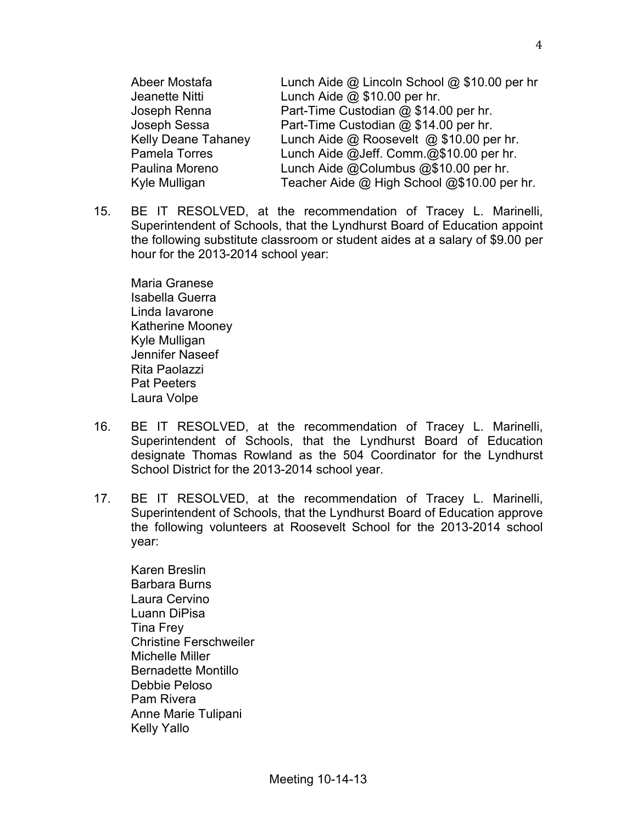| Abeer Mostafa              | Lunch Aide @ Lincoln School @ \$10.00 per hr |
|----------------------------|----------------------------------------------|
| Jeanette Nitti             | Lunch Aide $@$ \$10.00 per hr.               |
| Joseph Renna               | Part-Time Custodian @ \$14.00 per hr.        |
| Joseph Sessa               | Part-Time Custodian @ \$14.00 per hr.        |
| <b>Kelly Deane Tahaney</b> | Lunch Aide @ Roosevelt @ \$10.00 per hr.     |
| Pamela Torres              | Lunch Aide @Jeff. Comm.@\$10.00 per hr.      |
| Paulina Moreno             | Lunch Aide @Columbus @\$10.00 per hr.        |
| Kyle Mulligan              | Teacher Aide @ High School @\$10.00 per hr.  |

15. BE IT RESOLVED, at the recommendation of Tracey L. Marinelli, Superintendent of Schools, that the Lyndhurst Board of Education appoint the following substitute classroom or student aides at a salary of \$9.00 per hour for the 2013-2014 school year:

Maria Granese Isabella Guerra Linda Iavarone Katherine Mooney Kyle Mulligan Jennifer Naseef Rita Paolazzi Pat Peeters Laura Volpe

- 16. BE IT RESOLVED, at the recommendation of Tracey L. Marinelli, Superintendent of Schools, that the Lyndhurst Board of Education designate Thomas Rowland as the 504 Coordinator for the Lyndhurst School District for the 2013-2014 school year.
- 17. BE IT RESOLVED, at the recommendation of Tracey L. Marinelli, Superintendent of Schools, that the Lyndhurst Board of Education approve the following volunteers at Roosevelt School for the 2013-2014 school year:

Karen Breslin Barbara Burns Laura Cervino Luann DiPisa Tina Frey Christine Ferschweiler Michelle Miller Bernadette Montillo Debbie Peloso Pam Rivera Anne Marie Tulipani Kelly Yallo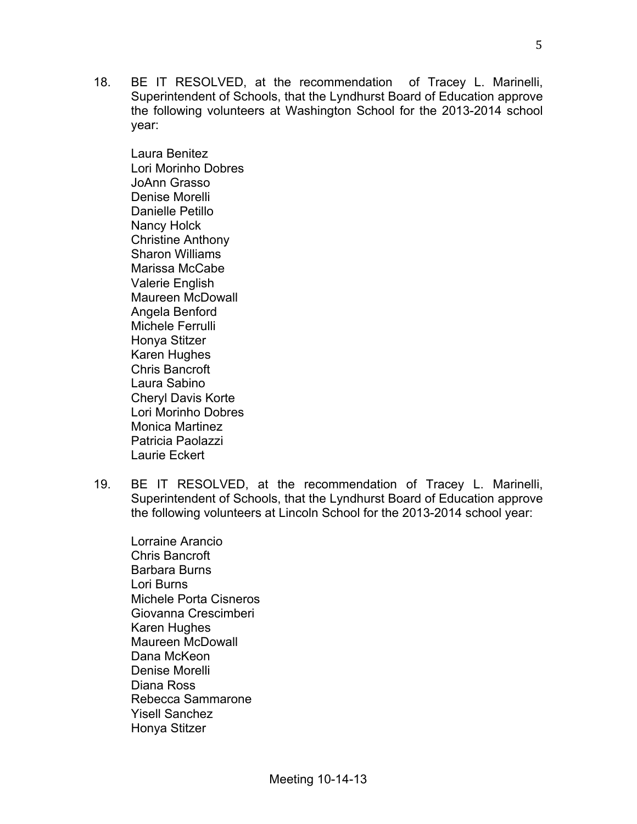18. BE IT RESOLVED, at the recommendation of Tracey L. Marinelli, Superintendent of Schools, that the Lyndhurst Board of Education approve the following volunteers at Washington School for the 2013-2014 school year:

Laura Benitez Lori Morinho Dobres JoAnn Grasso Denise Morelli Danielle Petillo Nancy Holck Christine Anthony Sharon Williams Marissa McCabe Valerie English Maureen McDowall Angela Benford Michele Ferrulli Honya Stitzer Karen Hughes Chris Bancroft Laura Sabino Cheryl Davis Korte Lori Morinho Dobres Monica Martinez Patricia Paolazzi Laurie Eckert

- 19. BE IT RESOLVED, at the recommendation of Tracey L. Marinelli, Superintendent of Schools, that the Lyndhurst Board of Education approve the following volunteers at Lincoln School for the 2013-2014 school year:
	- Lorraine Arancio Chris Bancroft Barbara Burns Lori Burns Michele Porta Cisneros Giovanna Crescimberi Karen Hughes Maureen McDowall Dana McKeon Denise Morelli Diana Ross Rebecca Sammarone Yisell Sanchez Honya Stitzer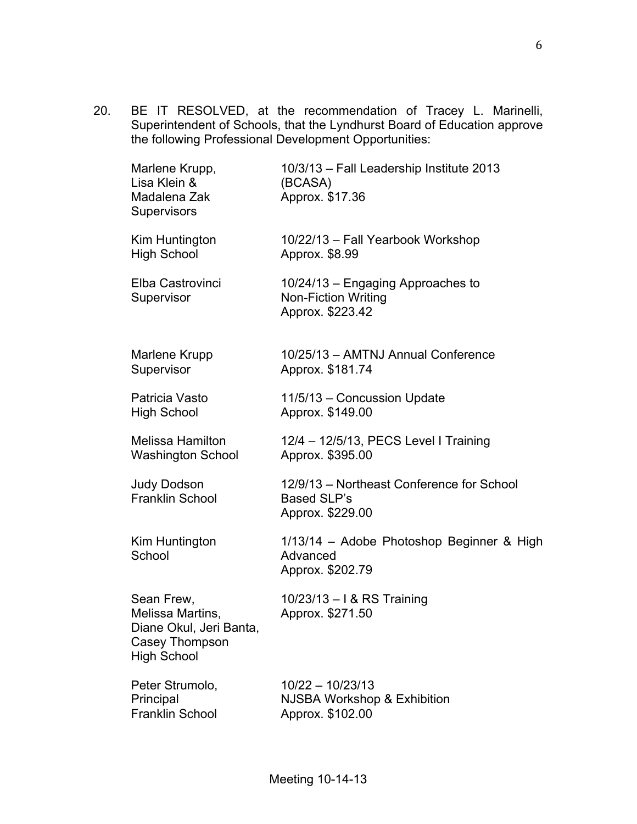20. BE IT RESOLVED, at the recommendation of Tracey L. Marinelli, Superintendent of Schools, that the Lyndhurst Board of Education approve the following Professional Development Opportunities:

| Marlene Krupp,<br>Lisa Klein &<br>Madalena Zak<br>Supervisors                                     | 10/3/13 - Fall Leadership Institute 2013<br>(BCASA)<br>Approx. \$17.36              |
|---------------------------------------------------------------------------------------------------|-------------------------------------------------------------------------------------|
| Kim Huntington                                                                                    | 10/22/13 - Fall Yearbook Workshop                                                   |
| <b>High School</b>                                                                                | Approx. \$8.99                                                                      |
| Elba Castrovinci<br>Supervisor                                                                    | 10/24/13 - Engaging Approaches to<br><b>Non-Fiction Writing</b><br>Approx. \$223.42 |
| Marlene Krupp                                                                                     | 10/25/13 - AMTNJ Annual Conference                                                  |
| Supervisor                                                                                        | Approx. \$181.74                                                                    |
| Patricia Vasto                                                                                    | 11/5/13 - Concussion Update                                                         |
| <b>High School</b>                                                                                | Approx. \$149.00                                                                    |
| Melissa Hamilton                                                                                  | 12/4 - 12/5/13, PECS Level I Training                                               |
| Washington School                                                                                 | Approx. \$395.00                                                                    |
| <b>Judy Dodson</b><br>Franklin School                                                             | 12/9/13 - Northeast Conference for School<br><b>Based SLP's</b><br>Approx. \$229.00 |
| Kim Huntington<br>School                                                                          | 1/13/14 - Adobe Photoshop Beginner & High<br>Advanced<br>Approx. \$202.79           |
| Sean Frew,<br>Melissa Martins,<br>Diane Okul, Jeri Banta,<br>Casey Thompson<br><b>High School</b> | 10/23/13 - I & RS Training<br>Approx. \$271.50                                      |
| Peter Strumolo,                                                                                   | 10/22 - 10/23/13                                                                    |
| Principal                                                                                         | <b>NJSBA Workshop &amp; Exhibition</b>                                              |
| <b>Franklin School</b>                                                                            | Approx. \$102.00                                                                    |